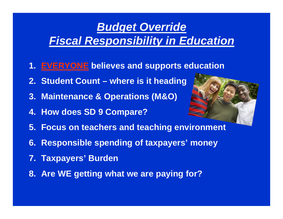### *Budget Override Fiscal Responsibility in Education*

- **1. EVERYONE believes and supports education**
- **2. Student Count where is it heading**
- **3. Maintenance & Operations (M&O)**
- **4. How does SD 9 Compare?**



- **5. Focus on teachers and teaching environment**
- **6. Responsible spending of taxpayers' money**
- **7. Taxpayers' Burden**
- **8. Are WE getting what we are paying for?**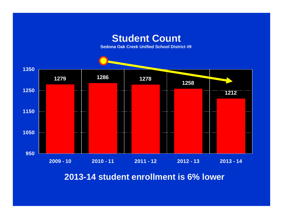#### **Student Count**

**Sedona Oak Creek Unified School District #9** 



**2013-14 student enrollment is 6% lower**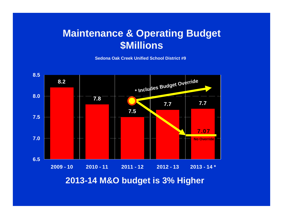#### **Maintenance & Operating Budget \$Millions**

**Sedona Oak Creek Unified School District #9**



**2013-14 M&O budget is 3% Higher**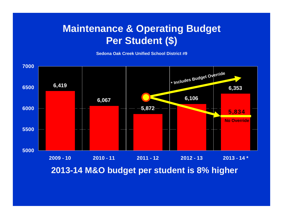#### **Maintenance & Operating Budget Per Student (\$)**

**Sedona Oak Creek Unified School District #9**



**2013-14 M&O budget per student is 8% higher**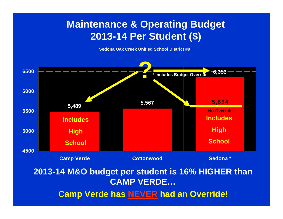#### **Maintenance & Operating Budget 2013-14 Per Student (\$)**

**Sedona Oak Creek Unified School District #9**



#### **2013-14 M&O budget per student is 16% HIGHER than CAMP VERDE…**

**Camp Verde has NEVER had an Override!**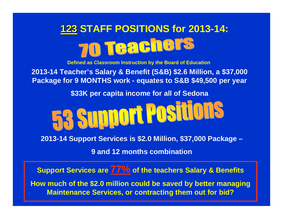## **123STAFF POSITIONS for 2013-14:** 70 Teachers

**Defined as Classroom Instruction by the Board of Education**

**2013-14 Teacher's Salary & Benefit (S&B) \$2.6 Million, a \$37,000 Package for 9 MONTHS work - equates to S&B \$49,500 per year**

**\$33K per capita income for all of Sedona**



**2013-14 Support Services is \$2.0 Million, \$37,000 Package –**

**9 and 12 months combination**

**Support Services are 77% of the teachers Salary & Benefits**

**How much of the \$2.0 million could be saved by better managing Maintenance Services, or contracting them out for bid?**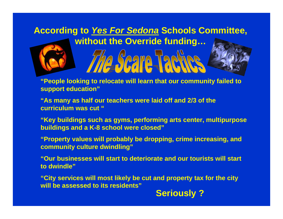## **According to** *Yes For Sedona* **Schools Committee,**



**without the Override funding… Scare Tar** 

**"People looking to relocate will learn that our community failed to support education"**

**"As many as half our teachers were laid off and 2/3 of the curriculum was cut "**

**"Key buildings such as gyms, performing arts center, multipurpose buildings and a K-8 school were closed"**

**"Property values will probably be dropping, crime increasing, and community culture dwindling"**

**"Our businesses will start to deteriorate and our tourists will start to dwindle"**

**"City services will most likely be cut and property tax for the city will be assessed to its residents"**

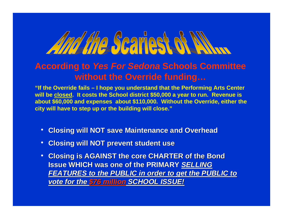# Amy the Scartest of N

#### **According to** *Yes For Sedona* **Schools Committee without the Override funding…**

**"If the Override fails – I hope you understand that the Performing Arts Center will be closed. It costs the School district \$50,000 a year to run. Revenue is about \$60,000 and expenses about \$110,000. Without the Override, either the city will have to step up or the building will close."**

- **Closing will NOT save Maintenance and Overhead Closing will NOT save Maintenance and Overhead**  $\bullet$
- **Closing will NOT prevent student use Closing will NOT prevent student use** •
- **Closing is AGAINST the core CHARTER of the Bond Issue WHICH was one of the PRIMARY SELLING** *FEATURES to the PUBLIC in or FEATURES to the PUBLIC in order to get the PUBLIC to der to get the PUBLIC to vote for the \$76 million SCHOOL ISSUE!* •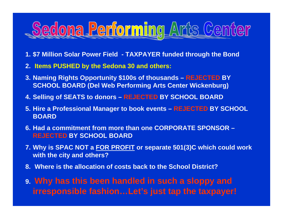## dedona Performing Arts Center

- **1. \$7 Million Solar Power Field TAXPAYER funded through the Bond**
- **2. Items PUSHED by the Sedona 30 and others:**
- **3. Naming Rights Opportunity \$100s of thousands REJECTED BY SCHOOL BOARD (Del Web Performing Arts Center Wickenburg)**
- **4. Selling of SEATS to donors REJECTED BY SCHOOL BOARD**
- **5. Hire a Professional Manager to book events REJECTED BY SCHOOL BOARD**
- **6. Had a commitment from more than one CORPORATE SPONSOR REJECTED BY SCHOOL BOARD**
- **7. Why is SPAC NOT a FOR PROFIT or separate 501(3)C which could work with the city and others?**
- **8. Where is the allocation of costs back to the School District?**
- **9. Why has this been handled in such a sloppy and irresponsible fashion…Let's just tap the taxpayer!**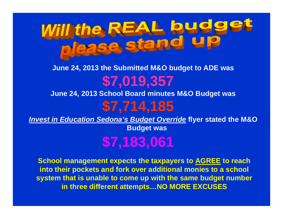

#### **June 24, 2013 the Submitted M&O budget to ADE was June 24, 2013 School Board minutes M&O Budget was \$7,019,357**

## **\$7,714,185**

*Invest in Education Sedona's Budget Override* **flyer stated the M&O** 

**Budget was**

**\$7,183,061**

**School management expects the taxpayers to AGREE to reach into their pockets and fork over additional monies to a school system that is unable to come up with the same budget number in three different attempts…NO MORE EXCUSES**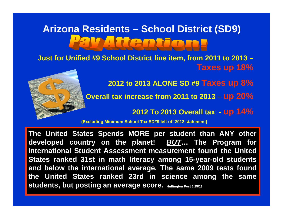# **Arizona Residents – School District (SD9)**

**Just for Unified #9 School District line item, from 2011 to 2013 – Taxes up 18%**



**2012 to 2013 ALONE SD #9 Taxes up 8%**

**Overall tax increase from 2011 to 2013 – up 20%**

**2012 To 2013 Overall tax - up 14%**

**(Excluding Minimum School Tax SD#9 left off 2012 statement)**

**The United States Spends MORE per student than ANY other developed country on the planet!** *BUT***… The Program for International Student Assessment measurement found the United States ranked 31st in math literacy among 15-year-old students and below the international average. The same 2009 tests found the United States ranked 23rd in science among the same students, but posting an average score.** Huffington Post 6/25/13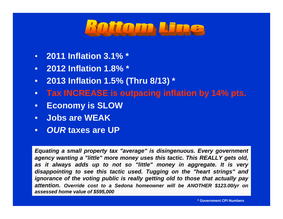

- **2011 Inflation 3.1% \***
- **2012 Inflation 1.8% \***
- **2013 Inflation 1.5% (Thru 8/13) \***
- **Tax INCREASE is outpacing inflation by 14% pts.**
- **Economy is SLOW**
- **Jobs are WEAK**
- *OUR* **taxes are UP**

*Equating a small property tax "average" is disingenuous. Every government agency wanting a "little" more money uses this tactic. This REALLY gets old, as it always adds up to not so "little" money in aggregate. It is very disappointing to see this tactic used. Tugging on the "heart strings" and ignorance of the voting public is really getting old to those that actually pay attention. Override cost to a Sedona homeowner will be ANOTHER \$123.00/yr on assessed home value of \$595,000*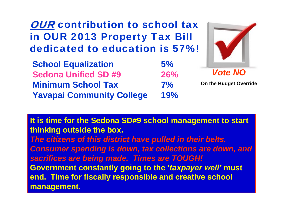**It is time for the Sedona SD#9 school management to start thinking outside the box.**  *The citizens of this district have pulled in their belts. Consumer spending is down, tax collections are down, and sacrifices are being made. Times are TOUGH!*  **Government constantly going to the '***taxpayer well'* **must end. Time for fiscally responsible and creative school management.**

**School Equalization 5% Sedona Unified SD #9 26%Minimum School Tax 7%Yavapai Community College 19%**

### **OUR** contribution to school tax in OUR 2013 Property Tax Bill dedicated to education is 57%!



**On the Budget Override**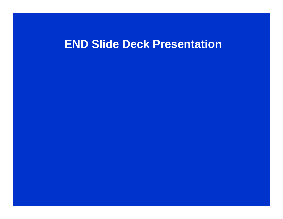### **END Slide Deck Presentation**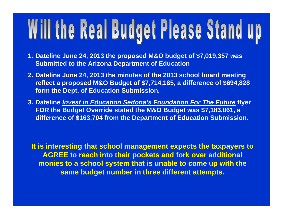# Will the Real Budget Please Stand up

- **1. Dateline June 24, 2013 the proposed M&O budget of \$7,019,357** *was*  **Submitted to the Arizona Department of Education**
- **2. Dateline June 24, 2013 the minutes of the 2013 school board meeting reflect a proposed M&O Budget of \$7,714,185, a difference of \$694,828 form the Dept. of Education Submission.**
- **3. Dateline** *Invest in Education Sedona's Foundation For The Future* **flyer FOR the Budget Override stated the M&O Budget was \$7,183,061, a difference of \$163,704 from the Department of Education Submission.**

**It is interesting that school management expects the taxpayers to AGREE to reach into their pockets and fork over additional monies to a school system that is unable to come up with the same budget number in three different attempts.**